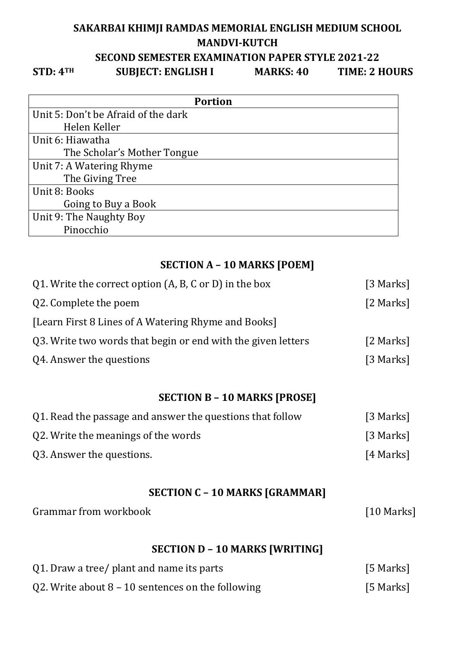## **SAKARBAI KHIMJI RAMDAS MEMORIAL ENGLISH MEDIUM SCHOOL MANDVI-KUTCH SECOND SEMESTER EXAMINATION PAPER STYLE 2021-22 STD: 4TH SUBJECT: ENGLISH I MARKS: 40 TIME: 2 HOURS**

 $[10$  Marks]

| <b>Portion</b>                      |
|-------------------------------------|
| Unit 5: Don't be Afraid of the dark |
| Helen Keller                        |
| Unit 6: Hiawatha                    |
| The Scholar's Mother Tongue         |
| Unit 7: A Watering Rhyme            |
| The Giving Tree                     |
| Unit 8: Books                       |
| Going to Buy a Book                 |
| Unit 9: The Naughty Boy             |
| Pinocchio                           |

## **SECTION A – 10 MARKS [POEM]**

| Q1. Write the correct option (A, B, C or D) in the box       | [3 Marks] |
|--------------------------------------------------------------|-----------|
| Q2. Complete the poem                                        | [2 Marks] |
| [Learn First 8 Lines of A Watering Rhyme and Books]          |           |
| Q3. Write two words that begin or end with the given letters | [2 Marks] |
| Q4. Answer the questions                                     | [3 Marks] |
|                                                              |           |

## **SECTION B – 10 MARKS [PROSE]**

| Q1. Read the passage and answer the questions that follow | [3 Marks] |
|-----------------------------------------------------------|-----------|
| Q2. Write the meanings of the words                       | [3 Marks] |
| Q3. Answer the questions.                                 | [4 Marks] |

# **SECTION C – 10 MARKS [GRAMMAR]**

| Grammar from workbook |
|-----------------------|
|-----------------------|

## **SECTION D – 10 MARKS [WRITING]**

| Q1. Draw a tree/ plant and name its parts           | [5 Marks] |
|-----------------------------------------------------|-----------|
| Q2. Write about $8 - 10$ sentences on the following | [5 Marks] |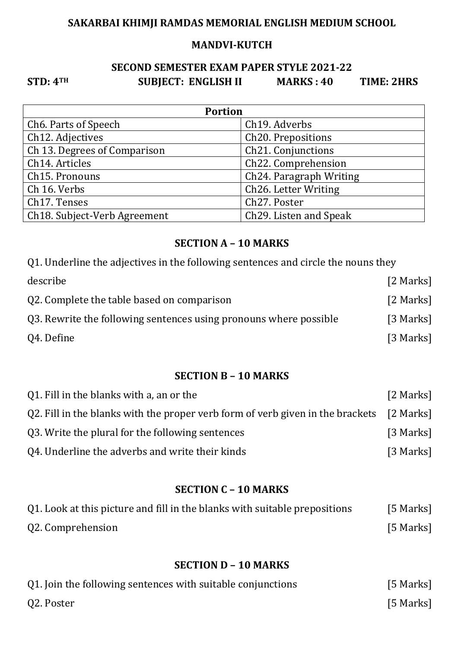## **SAKARBAI KHIMJI RAMDAS MEMORIAL ENGLISH MEDIUM SCHOOL**

#### **MANDVI-KUTCH**

## **SECOND SEMESTER EXAM PAPER STYLE 2021-22 STD: 4TH SUBJECT: ENGLISH II MARKS : 40 TIME: 2HRS**

| <b>Portion</b>                            |                                      |  |  |  |
|-------------------------------------------|--------------------------------------|--|--|--|
| Ch <sub>6</sub> . Parts of Speech         | Ch <sub>19</sub> . Adverbs           |  |  |  |
| Ch <sub>12</sub> . Adjectives             | Ch <sub>20</sub> . Prepositions      |  |  |  |
| Ch 13. Degrees of Comparison              | Ch <sub>21</sub> . Conjunctions      |  |  |  |
| Ch14. Articles                            | Ch22. Comprehension                  |  |  |  |
| Ch <sub>15</sub> . Pronouns               | Ch <sub>24</sub> . Paragraph Writing |  |  |  |
| Ch 16. Verbs                              | Ch <sub>26</sub> . Letter Writing    |  |  |  |
| Ch <sub>17</sub> . Tenses                 | Ch27. Poster                         |  |  |  |
| Ch <sub>18</sub> . Subject-Verb Agreement | Ch <sub>29</sub> . Listen and Speak  |  |  |  |

#### **SECTION A – 10 MARKS**

| Q1. Underline the adjectives in the following sentences and circle the nouns they |           |  |  |  |
|-----------------------------------------------------------------------------------|-----------|--|--|--|
| describe                                                                          | [2 Marks] |  |  |  |
| Q2. Complete the table based on comparison                                        | [2 Marks] |  |  |  |
| Q3. Rewrite the following sentences using pronouns where possible                 | [3 Marks] |  |  |  |
| Q4. Define                                                                        | [3 Marks] |  |  |  |

#### **SECTION B – 10 MARKS**

| Q1. Fill in the blanks with a, an or the                                                 | [2 Marks] |
|------------------------------------------------------------------------------------------|-----------|
| Q2. Fill in the blanks with the proper verb form of verb given in the brackets [2 Marks] |           |
| Q3. Write the plural for the following sentences                                         | [3 Marks] |
| Q4. Underline the adverbs and write their kinds                                          | [3 Marks] |

## **SECTION C – 10 MARKS**

| Q1. Look at this picture and fill in the blanks with suitable prepositions | [5 Marks] |
|----------------------------------------------------------------------------|-----------|
| Q2. Comprehension                                                          | [5 Marks] |

#### **SECTION D – 10 MARKS**

| Q1. Join the following sentences with suitable conjunctions | [5 Marks] |
|-------------------------------------------------------------|-----------|
| Q2. Poster                                                  | [5 Marks] |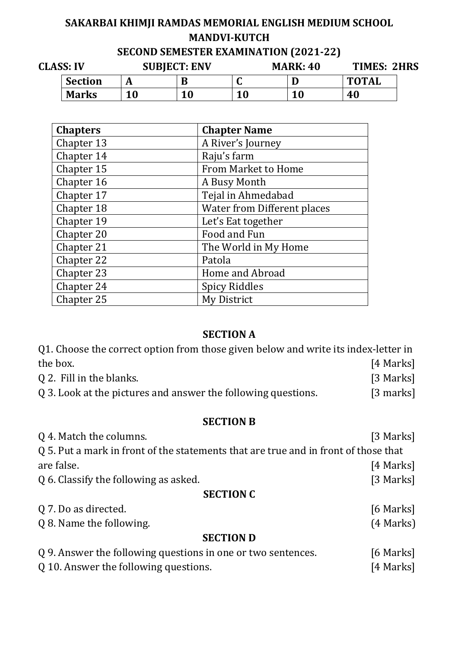# **SAKARBAI KHIMJI RAMDAS MEMORIAL ENGLISH MEDIUM SCHOOL MANDVI-KUTCH**

| SECOND SEMESTER EXAMINATION (2021-22) |  |
|---------------------------------------|--|
|                                       |  |

| <b>CLASS: IV</b> |                | <b>SUBJECT: ENV</b> |     |    | <b>MARK: 40</b> | TIMES: 2HRS  |  |
|------------------|----------------|---------------------|-----|----|-----------------|--------------|--|
|                  | <b>Section</b> |                     | В   |    |                 | <b>TOTAL</b> |  |
|                  | <b>Marks</b>   | 10                  | 1 N | 10 | <b>10</b>       | 40           |  |

| <b>Chapters</b> | <b>Chapter Name</b>         |
|-----------------|-----------------------------|
| Chapter 13      | A River's Journey           |
| Chapter 14      | Raju's farm                 |
| Chapter 15      | <b>From Market to Home</b>  |
| Chapter 16      | A Busy Month                |
| Chapter 17      | Tejal in Ahmedabad          |
| Chapter 18      | Water from Different places |
| Chapter 19      | Let's Eat together          |
| Chapter 20      | Food and Fun                |
| Chapter 21      | The World in My Home        |
| Chapter 22      | Patola                      |
| Chapter 23      | Home and Abroad             |
| Chapter 24      | <b>Spicy Riddles</b>        |
| Chapter 25      | My District                 |

#### **SECTION A**

Q1. Choose the correct option from those given below and write its index-letter in the box. [4 Marks]

| Q 2. Fill in the blanks.                                      | [3 Marks]   |
|---------------------------------------------------------------|-------------|
| Q 3. Look at the pictures and answer the following questions. | $[3$ marks] |

### **SECTION B**

| Q 4. Match the columns.                                                             | [3 Marks] |
|-------------------------------------------------------------------------------------|-----------|
| Q 5. Put a mark in front of the statements that are true and in front of those that |           |
| are false.                                                                          | [4 Marks] |
| Q 6. Classify the following as asked.                                               | [3 Marks] |
| <b>SECTION C</b>                                                                    |           |
| Q 7. Do as directed.                                                                | [6 Marks] |
| Q 8. Name the following.                                                            | (4 Marks) |
| <b>SECTION D</b>                                                                    |           |
| Q 9. Answer the following questions in one or two sentences.                        | [6 Marks] |
| Q 10. Answer the following questions.                                               | [4 Marks] |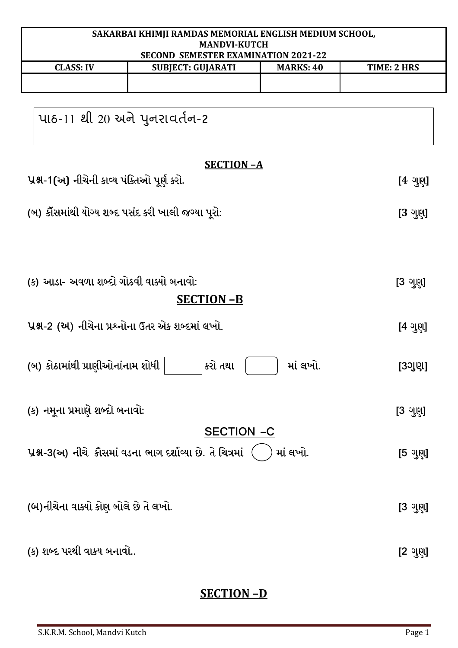| SAKARBAI KHIMJI RAMDAS MEMORIAL ENGLISH MEDIUM SCHOOL,<br><b>MANDVI-KUTCH</b> |                                                            |                  |                    |
|-------------------------------------------------------------------------------|------------------------------------------------------------|------------------|--------------------|
|                                                                               | <b>SECOND SEMESTER EXAMINATION 2021-22</b>                 |                  |                    |
| <b>CLASS: IV</b>                                                              | <b>SUBJECT: GUJARATI</b>                                   | <b>MARKS: 40</b> | <b>TIME: 2 HRS</b> |
|                                                                               |                                                            |                  |                    |
|                                                                               |                                                            |                  |                    |
| પાઠ-11 થી 20 અને પુનરાવર્તન-2                                                 |                                                            |                  |                    |
|                                                                               |                                                            |                  |                    |
|                                                                               |                                                            |                  |                    |
|                                                                               | <b>SECTION-A</b>                                           |                  |                    |
| પ્રશ્ન-1(અ) નીચેની કાવ્ય પંક્તિઓ પૂર્ણ કરો.                                   |                                                            |                  | $[4 \sqrt{2}$ ણુ   |
|                                                                               |                                                            |                  |                    |
|                                                                               | (બ) કૌંસમાંથી યોગ્ય શબ્દ પસંદ કરી ખાલી જગ્યા પૂરો:         |                  | $[3 \sqrt{2}$      |
|                                                                               |                                                            |                  |                    |
|                                                                               |                                                            |                  |                    |
|                                                                               |                                                            |                  |                    |
|                                                                               |                                                            |                  |                    |
| (ક) આડા- અવળા શબ્દો ગોઠવી વાક્યો બનાવો:                                       |                                                            |                  | [3 ગુણ]            |
|                                                                               | <b>SECTION-B</b>                                           |                  |                    |
|                                                                               |                                                            |                  |                    |
|                                                                               | પ્રશ્ન-2 (અ) નીચેના પ્રશ્નોના ઉતર એક શબ્દમાં લખો.          |                  | [4 ગુણ]            |
|                                                                               |                                                            |                  |                    |
| (બ) કોઠામાંથી પ્રાણીઓનાંનામ શોધી                                              | કરો તથા                                                    | માં લખો.         | [3ગુણ]             |
|                                                                               |                                                            |                  |                    |
|                                                                               |                                                            |                  |                    |
| (ક) નમૂના પ્રમાણે શબ્દો બનાવો:                                                |                                                            |                  | [3 ગુણ]            |
|                                                                               | <b>SECTION -C</b>                                          |                  |                    |
|                                                                               |                                                            |                  |                    |
|                                                                               | પ્રશ્ન-3(અ) નીચે કૌસમાં વડના ભાગ દર્શાવ્યા છે. તે ચિત્રમાં | માં લખો.         | [5 ગુણ]            |
|                                                                               |                                                            |                  |                    |
|                                                                               |                                                            |                  |                    |
| (બ)નીચેના વાક્યો કોણ બોલે છે તે લખો.                                          |                                                            |                  | [3 ગુણ]            |
|                                                                               |                                                            |                  |                    |
|                                                                               |                                                            |                  |                    |
| (ક) શબ્દ પરથી વાકય બનાવો                                                      |                                                            |                  | $[2 \; 3 \; 3]$    |

# **SECTION –D**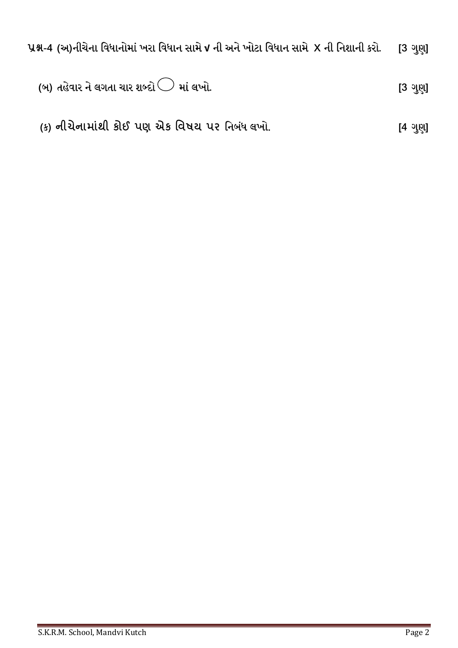$\,$ પ્રશ્ન-4 (અ)નીચેના વિધાનોમાં ખરા વિધાન સામે √ ની અને ખોટા વિધાન સામે  $\,$  X ની નિશાની કરો. [3 ગુણ]

(બ) તહેવાર ને લગતા ચાર શબ્દો 
$$
\bigcirc
$$
 માં લખો.

 **(**ક**) !"#"\$% к'( પ \*к +,-. પ/** િનબધં લખો. **[** ગણુ **]**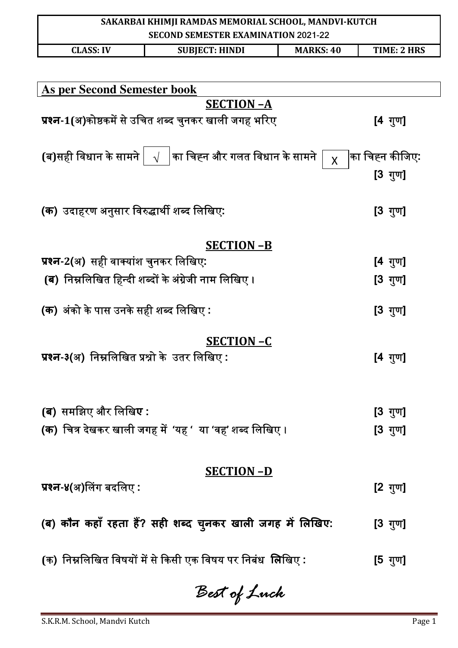| SAKARBAI KHIMJI RAMDAS MEMORIAL SCHOOL, MANDVI-KUTCH<br><b>SECOND SEMESTER EXAMINATION 2021-22</b> |                                                                             |                  |                    |
|----------------------------------------------------------------------------------------------------|-----------------------------------------------------------------------------|------------------|--------------------|
| <b>CLASS: IV</b>                                                                                   | <b>SUBJECT: HINDI</b>                                                       | <b>MARKS: 40</b> | <b>TIME: 2 HRS</b> |
|                                                                                                    |                                                                             |                  |                    |
| <b>As per Second Semester book</b>                                                                 |                                                                             |                  |                    |
|                                                                                                    | <b>SECTION-A</b>                                                            |                  |                    |
|                                                                                                    | प्रश्न-1(अ)कोष्ठकमें से उचित शब्द चुनकर खाली जगह भरिए                       |                  | $[4 \t{mm}]$       |
|                                                                                                    | (ब)सही विधान के सामने $\mid \; \sqrt{\; \;}$ का चिह्न और गलत विधान के सामने | $\overline{X}$   | ∣का चिह्न कीजिए:   |
|                                                                                                    |                                                                             |                  | $[3 \t{rr}$        |
|                                                                                                    |                                                                             |                  |                    |
| (क) उदाहरण अनुसार विरुद्धार्थी शब्द लिखिए:                                                         |                                                                             |                  | [3 गुण]            |
|                                                                                                    |                                                                             |                  |                    |
| प्रश्न-2(अ) सही वाक्यांश चुनकर लिखिए:                                                              | <b>SECTION -B</b>                                                           |                  | [4 गुण]            |
|                                                                                                    | <b>(ब</b> )  निम्नलिखित हिन्दी शब्दों के अंग्रेजी नाम लिखिए ।               |                  | [3 गुण]            |
|                                                                                                    |                                                                             |                  |                    |
| (क) अंको के पास उनके सही शब्द लिखिए :                                                              |                                                                             |                  | [3 गुण]            |
|                                                                                                    | <b>SECTION-C</b>                                                            |                  |                    |
| प्रश्न-३(अ) निम्नलिखित प्रश्नो के उतर लिखिए :                                                      |                                                                             |                  | [4 गुण]            |
|                                                                                                    |                                                                             |                  |                    |
|                                                                                                    |                                                                             |                  |                    |
| <b>(ब)</b> समझिए और लिखि <b>ए</b> :                                                                |                                                                             |                  | [3 गुण]            |
|                                                                                                    | (क)  चित्र देखकर खाली जगह में  'यह '  या 'वह' शब्द लिखिए ।                  |                  | $[3 \t{y}$ ण]      |
|                                                                                                    |                                                                             |                  |                    |
|                                                                                                    | <b>SECTION-D</b>                                                            |                  |                    |
| प्रश्न-४(अ)लिंग बदलिए :                                                                            |                                                                             |                  | [ $2 \sqrt{3}$     |
|                                                                                                    | (ब) कौन कहाँ रहता हैं? सही शब्द चुनकर खाली जगह में लिखिए:                   |                  | [3 गुण]            |
|                                                                                                    |                                                                             |                  |                    |
|                                                                                                    | (क) निम्नलिखित विषयों में से किसी एक विषय पर निबंध  लिखिए :                 |                  | [5 गुण]            |
|                                                                                                    |                                                                             |                  |                    |

*Best of Luck*